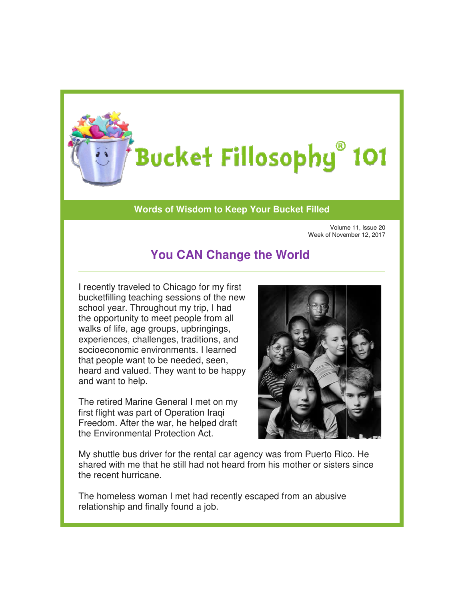

## **Words of Wisdom to Keep Your Bucket Filled of Wisdom to**

Volume 11, Issue 20 Week of November 1 11, Week of November 12, 2017

## **You CAN Change the World You**

I recently traveled to Chicago for my first bucketfilling teaching sessions of the new school year. Throughout my trip, I had the opportunity to meet people from all walks of life, age groups, upbringings, experiences, challenges, traditions, and socioeconomic environments. I learned that people want to be needed, seen, heard and valued. They want to be happy and want to help.

The retired Marine General I met on my first flight was part of Operation Iraqi Freedom. After the war, he helped draft the Environmental Protection Act.



My shuttle bus driver for the rental car agency was from Puerto Rico. He shared with me that he still had not heard from his mother or sisters since the recent hurricane.

The homeless woman I met had recently escaped from an abusi ve relationship and finally found a job.